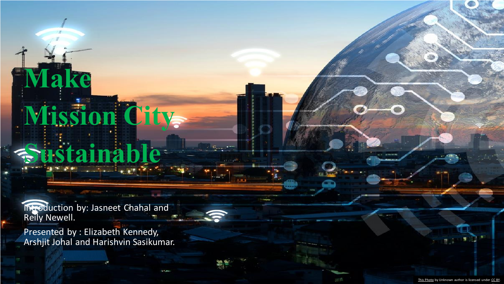Introduction by: Jasneet Chahal and Reily Newell.

**Sustainable**

**Mission City** 

**Make** 

Presented by : Elizabeth Kennedy, Arshjit Johal and Harishvin Sasikumar.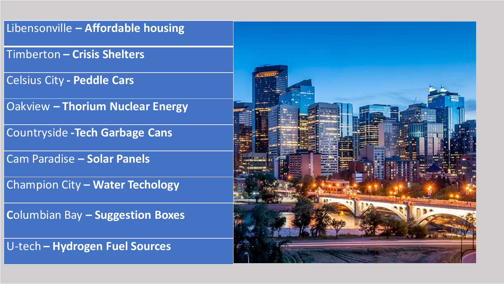#### Libensonville **– Affordable housing**

Timberton **– Crisis Shelters**

Celsius City **- Peddle Cars**

Oakview **– Thorium Nuclear Energy**

Countryside **-Tech Garbage Cans**

Cam Paradise **– Solar Panels**

Champion City **– Water Techology**

**C**olumbian Bay **– Suggestion Boxes**

U-tech **– Hydrogen Fuel Sources**

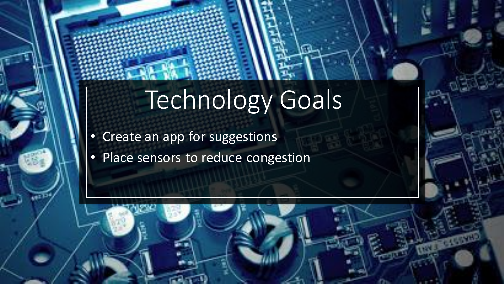# Technology Goals

- Create an app for suggestions
- Place sensors to reduce congestion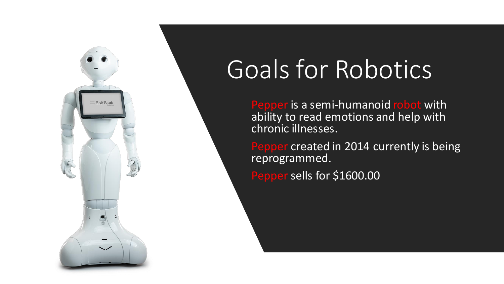

# Goals for Robotics

Pepper is a semi-humanoid robot with ability to read emotions and help with chronic illnesses.

Pepper created in 2014 currently is being reprogrammed. Pepper sells for \$1600.00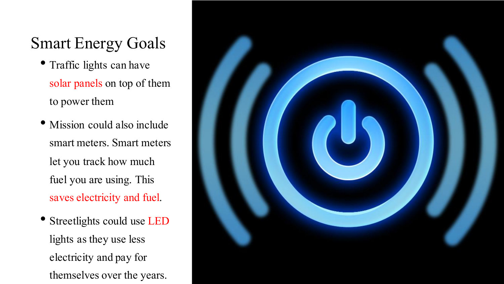### Smart Energy Goals

- Traffic lights can have solar panels on top of them to power them
- Mission could also include smart meters.Smart meters let you track how much fuel you are using. This saves electricity and fuel.
- Streetlights could use LED lights as they use less electricity and pay for themselves over the years.

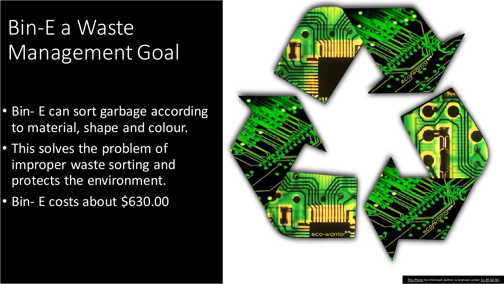## Bin-E a Waste Management Goal

- Bin- E can sort garbage according to material, shape and colour.
- This solves the problem of improper waste sorting and protects the environment.
- Bin- E costs about \$630.00